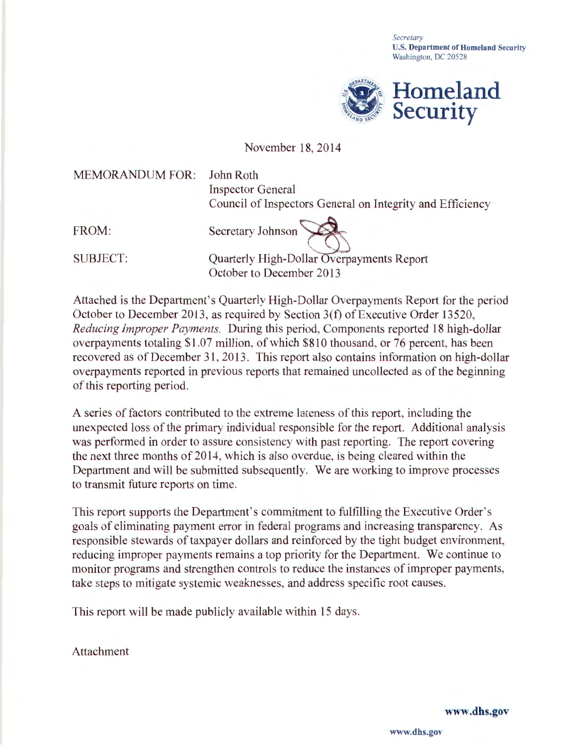*Secretary*  **U.S. Department of Homeland Security** Washington, DC 20528



## November 18, 2014

MEMORANDUM FOR: FROM: SUBJECT: John Roth Inspector General Council of Inspectors General on Integrity and Efficiency Secretary Johnson<br>
Quarterly High-Dollar Overpayments Report October to December 2013

Attached is the Department's Quarterly High-Dollar Overpayments Report for the period October to December 2013 , as required by Section 3(f) of Executive Order 13520, *Reducing Improper Payments.* During this period, Components reported 18 high-dollar overpayments totaling \$1.07 million, of which \$810 thousand, or 76 percent, has been recovered as of December 31, 2013. This report also contains information on high-dollar overpayments reported in previous reports that remained uncollected as of the beginning of this reporting period.

A series of factors contributed to the extreme lateness of this report, including the unexpected loss of the primary individual responsible for the report. Additional analysis was performed in order to assure consistency with past reporting. The report covering the next three months of 2014, which is also overdue, is being cleared within the Department and will be submitted subsequently. We are working to improve processes to transmit future reports on time.

This report supports the Department's commitment to fulfilling the Executive Order's goals of eliminating payment error in federal programs and increasing transparency. As responsible stewards of taxpayer dollars and reinforced by the tight budget environment, reducing improper payments remains a top priority for the Department. We continue to monitor programs and strengthen controls to reduce the instances of improper payments, take steps to mitigate systemic weaknesses, and address specific root causes.

This report will be made publicly available within 15 days.

Attachment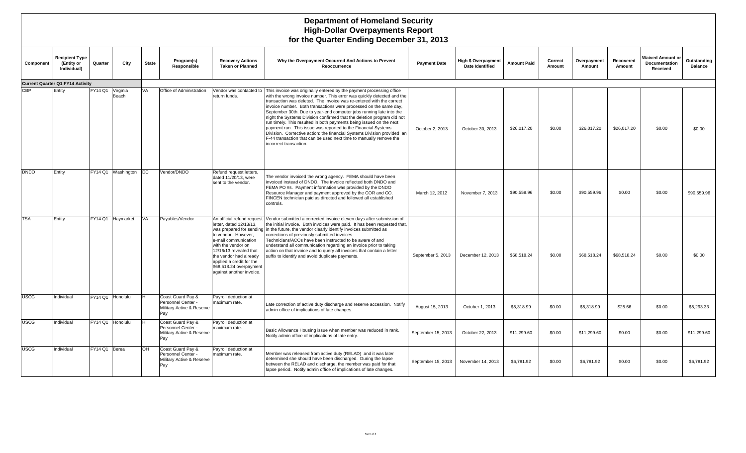|                  | <b>Department of Homeland Security</b><br><b>High-Dollar Overpayments Report</b><br>for the Quarter Ending December 31, 2013 |                |                   |              |                                                                                  |                                                                                                                                                                                                                                                                   |                                                                                                                                                                                                                                                                                                                                                                                                                                                                                                                                                                                                                                                                                                                                                                                           |                     |                                                      |                    |                   |                       |                     |                                                      |                               |
|------------------|------------------------------------------------------------------------------------------------------------------------------|----------------|-------------------|--------------|----------------------------------------------------------------------------------|-------------------------------------------------------------------------------------------------------------------------------------------------------------------------------------------------------------------------------------------------------------------|-------------------------------------------------------------------------------------------------------------------------------------------------------------------------------------------------------------------------------------------------------------------------------------------------------------------------------------------------------------------------------------------------------------------------------------------------------------------------------------------------------------------------------------------------------------------------------------------------------------------------------------------------------------------------------------------------------------------------------------------------------------------------------------------|---------------------|------------------------------------------------------|--------------------|-------------------|-----------------------|---------------------|------------------------------------------------------|-------------------------------|
| Component        | <b>Recipient Type</b><br>(Entity or<br>Individual)                                                                           | Quarter        | City              | <b>State</b> | Program(s)<br>Responsible                                                        | <b>Recovery Actions</b><br><b>Taken or Planned</b>                                                                                                                                                                                                                | Why the Overpayment Occurred And Actions to Prevent<br>Reoccurrence                                                                                                                                                                                                                                                                                                                                                                                                                                                                                                                                                                                                                                                                                                                       | <b>Payment Date</b> | <b>High \$ Overpayment</b><br><b>Date Identified</b> | <b>Amount Paid</b> | Correct<br>Amount | Overpayment<br>Amount | Recovered<br>Amount | <b>Waived Amount or</b><br>Documentation<br>Received | Outstanding<br><b>Balance</b> |
|                  | <b>Current Quarter Q1 FY14 Activity</b>                                                                                      |                |                   |              |                                                                                  |                                                                                                                                                                                                                                                                   |                                                                                                                                                                                                                                                                                                                                                                                                                                                                                                                                                                                                                                                                                                                                                                                           |                     |                                                      |                    |                   |                       |                     |                                                      |                               |
| $\overline{CBP}$ | Entity                                                                                                                       | <b>FY14 Q1</b> | Virginia<br>Beach | VA           | Office of Administration                                                         | eturn funds.                                                                                                                                                                                                                                                      | Vendor was contacted to   This invoice was originally entered by the payment processing office<br>with the wrong invoice number. This error was quickly detected and the<br>transaction was deleted. The invoice was re-entered with the correct<br>invoice number. Both transactions were processed on the same day,<br>September 30th. Due to year-end computer jobs running late into the<br>night the Systems Division confirmed that the deletion program did not<br>run timely. This resulted in both payments being issued on the next<br>payment run. This issue was reported to the Financial Systems<br>Division. Corrective action: the financial Systems Division provided an<br>F-44 transaction that can be used next time to manually remove the<br>incorrect transaction. | October 2, 2013     | October 30, 2013                                     | \$26,017.20        | \$0.00            | \$26,017.20           | \$26,017.20         | \$0.00                                               | \$0.00                        |
| DNDO             | Entity                                                                                                                       | FY14 Q1        | Washington        | DC.          | Vendor/DNDO                                                                      | Refund request letters,<br>dated 11/20/13, were<br>sent to the vendor.                                                                                                                                                                                            | The vendor invoiced the wrong agency. FEMA should have been<br>invoiced instead of DNDO. The invoice reflected both DNDO and<br>FEMA PO #s. Payment information was provided by the DNDO<br>Resource Manager and payment approved by the COR and CO.<br>FINCEN technician paid as directed and followed all established<br>controls.                                                                                                                                                                                                                                                                                                                                                                                                                                                      | March 12, 2012      | November 7, 2013                                     | \$90,559.96        | \$0.00            | \$90,559.96           | \$0.00              | \$0.00                                               | \$90,559.96                   |
| <b>TSA</b>       | Entity                                                                                                                       | FY14 Q1        | Haymarket         | VA           | Payables/Vendor                                                                  | An official refund request<br>letter, dated 12/13/13,<br>to vendor. However,<br>e-mail communication<br>with the vendor on<br>12/16/13 revealed that<br>the vendor had already<br>applied a credit for the<br>\$68,518.24 overpayment<br>against another invoice. | Vendor submitted a corrected invoice eleven days after submission of<br>the initial invoice. Both invoices were paid. It has been requested that,<br>was prepared for sending in the future, the vendor clearly identify invoices submitted as<br>corrections of previously submitted invoices.<br>Technicians/ACOs have been instructed to be aware of and<br>understand all communication regarding an invoice prior to taking<br>action on that invoice and to query all invoices that contain a letter<br>suffix to identify and avoid duplicate payments.                                                                                                                                                                                                                            | September 5, 2013   | December 12, 2013                                    | \$68,518.24        | \$0.00            | \$68,518.24           | \$68,518.24         | \$0.00                                               | \$0.00                        |
| USCG             | Individual                                                                                                                   | FY14 Q1        | Honolulu          | <b>HI</b>    | Coast Guard Pay &<br>Personnel Center<br>Military Active & Reserve<br>Pay        | Payroll deduction at<br>maximum rate.                                                                                                                                                                                                                             | Late correction of active duty discharge and reserve accession. Notify<br>admin office of implications of late changes.                                                                                                                                                                                                                                                                                                                                                                                                                                                                                                                                                                                                                                                                   | August 15, 2013     | October 1, 2013                                      | \$5,318.99         | \$0.00            | \$5,318.99            | \$25.66             | \$0.00                                               | \$5,293.33                    |
| <b>USCG</b>      | Individual                                                                                                                   | FY14 Q1        | Honolulu          | HI           | Coast Guard Pay &<br><b>Personnel Center</b><br>Military Active & Reserve<br>Pay | Payroll deduction at<br>maximum rate.                                                                                                                                                                                                                             | Basic Allowance Housing issue when member was reduced in rank.<br>Notify admin office of implications of late entry.                                                                                                                                                                                                                                                                                                                                                                                                                                                                                                                                                                                                                                                                      | September 15, 2013  | October 22, 2013                                     | \$11,299.60        | \$0.00            | \$11,299.60           | \$0.00              | \$0.00                                               | \$11,299.60                   |
| <b>JSCG</b>      | Individual                                                                                                                   | FY14 Q1 Berea  |                   | OH           | Coast Guard Pay &<br>Personnel Center -<br>Military Active & Reserve<br>Pay      | Payroll deduction at<br>maximum rate.                                                                                                                                                                                                                             | Member was released from active duty (RELAD) and it was later<br>determined she should have been discharged. During the lapse<br>between the RELAD and discharge, the member was paid for that<br>lapse period. Notify admin office of implications of late changes.                                                                                                                                                                                                                                                                                                                                                                                                                                                                                                                      | September 15, 2013  | November 14, 2013                                    | \$6,781.92         | \$0.00            | \$6.781.92            | \$0.00              | \$0.00                                               | \$6,781.92                    |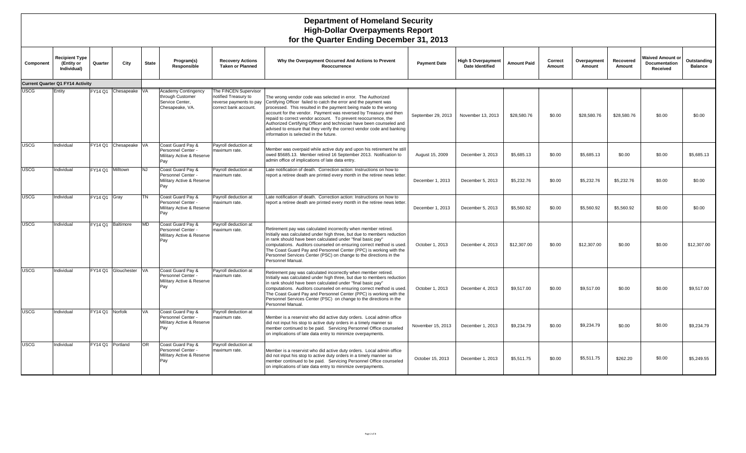#### **Department of Homeland Security High-Dollar Overpayments Report for the Quarter Ending December 31, 2013**

| Component   | <b>Recipient Type</b><br>(Entity or<br>Individual) | Quarter         | City                   | <b>State</b> | Program(s)<br>Responsible                                                            | <b>Recovery Actions</b><br><b>Taken or Planned</b>                                                | Why the Overpayment Occurred And Actions to Prevent<br>Reoccurrence                                                                                                                                                                                                                                                                                                                                                                                                                                                                   | <b>Payment Date</b> | <b>High \$ Overpayment</b><br>Date Identified | <b>Amount Paid</b> | Correct<br>Amount | Overpayment<br>Amount | Recovered<br>Amount | <b>Waived Amount or</b><br>Documentation<br>Received | Outstanding<br><b>Balance</b> |
|-------------|----------------------------------------------------|-----------------|------------------------|--------------|--------------------------------------------------------------------------------------|---------------------------------------------------------------------------------------------------|---------------------------------------------------------------------------------------------------------------------------------------------------------------------------------------------------------------------------------------------------------------------------------------------------------------------------------------------------------------------------------------------------------------------------------------------------------------------------------------------------------------------------------------|---------------------|-----------------------------------------------|--------------------|-------------------|-----------------------|---------------------|------------------------------------------------------|-------------------------------|
|             | <b>Current Quarter Q1 FY14 Activity</b>            |                 |                        |              |                                                                                      |                                                                                                   |                                                                                                                                                                                                                                                                                                                                                                                                                                                                                                                                       |                     |                                               |                    |                   |                       |                     |                                                      |                               |
| <b>USCG</b> | Entity                                             |                 | FY14 Q1 Chesapeake VA  |              | <b>Academy Contingency</b><br>through Customer<br>Service Center.<br>Chesapeake, VA. | The FINCEN Supervisor<br>notified Treasury to<br>reverse payments to pay<br>correct bank account. | The wrong vendor code was selected in error. The Authorized<br>Certifying Officer failed to catch the error and the payment was<br>processed. This resulted in the payment being made to the wrong<br>account for the vendor. Payment was reversed by Treasury and then<br>repaid to correct vendor account. To prevent reoccurrence, the<br>Authorized Certifying Officer and technician have been counseled and<br>advised to ensure that they verify the correct vendor code and banking<br>information is selected in the future. | September 29, 2013  | November 13, 2013                             | \$28,580.76        | \$0.00            | \$28,580.76           | \$28,580.76         | \$0.00                                               | \$0.00                        |
| <b>USCG</b> | Individual                                         |                 | FY14 Q1 Chesapeake VA  |              | Coast Guard Pay &<br>Personnel Center -<br>Military Active & Reserve<br>Pay          | Pavroll deduction at<br>maximum rate.                                                             | Member was overpaid while active duty and upon his retirement he still<br>owed \$5685.13. Member retired 16 September 2013. Notification to<br>admin office of implications of late data entry.                                                                                                                                                                                                                                                                                                                                       | August 15, 2009     | December 3, 2013                              | \$5.685.13         | \$0.00            | \$5,685.13            | \$0.00              | \$0.00                                               | \$5,685.13                    |
| <b>USCG</b> | Individual                                         |                 | FY14 Q1 Milltown       | <b>NJ</b>    | Coast Guard Pay &<br>Personnel Center -<br>Military Active & Reserve<br>Pay          | Payroll deduction at<br>maximum rate.                                                             | Late notification of death. Correction action: Instructions on how to<br>report a retiree death are printed every month in the retiree news letter                                                                                                                                                                                                                                                                                                                                                                                    | December 1, 2013    | December 5, 2013                              | \$5,232.76         | \$0.00            | \$5,232.76            | \$5,232.76          | \$0.00                                               | \$0.00                        |
| <b>USCG</b> | Individual                                         | FY14 Q1 Gray    |                        | <b>TN</b>    | Coast Guard Pay &<br>Personnel Center -<br>Military Active & Reserve<br>Pay          | Payroll deduction at<br>maximum rate.                                                             | Late notification of death. Correction action: Instructions on how to<br>report a retiree death are printed every month in the retiree news letter                                                                                                                                                                                                                                                                                                                                                                                    | December 1, 2013    | December 5, 2013                              | \$5,560.92         | \$0.00            | \$5,560.92            | \$5,560.92          | \$0.00                                               | \$0.00                        |
| <b>USCG</b> | Individual                                         |                 | FY14 Q1 Baltimore      | <b>MD</b>    | Coast Guard Pay &<br>Personnel Center -<br>Military Active & Reserve<br>Pay          | Payroll deduction at<br>maximum rate.                                                             | Retirement pay was calculated incorrectly when member retired.<br>Initially was calculated under high three, but due to members reduction<br>in rank should have been calculated under "final basic pay"<br>computations. Auditors counseled on ensuring correct method is used.<br>The Coast Guard Pay and Personnel Center (PPC) is working with the<br>Personnel Services Center (PSC) on change to the directions in the<br>Personnel Manual.                                                                                     | October 1, 2013     | December 4, 2013                              | \$12,307.00        | \$0.00            | \$12,307.00           | \$0.00              | \$0.00                                               | \$12,307.00                   |
| <b>USCG</b> | Individual                                         |                 | FY14 Q1 Glouchester VA |              | Coast Guard Pay &<br>Personnel Center -<br>Military Active & Reserve<br>Pay          | Payroll deduction at<br>maximum rate.                                                             | Retirement pay was calculated incorrectly when member retired.<br>Initially was calculated under high three, but due to members reduction<br>in rank should have been calculated under "final basic pay"<br>computations. Auditors counseled on ensuring correct method is used.<br>The Coast Guard Pay and Personnel Center (PPC) is working with the<br>Personnel Services Center (PSC) on change to the directions in the<br>Personnel Manual.                                                                                     | October 1, 2013     | December 4, 2013                              | \$9,517.00         | \$0.00            | \$9,517.00            | \$0.00              | \$0.00                                               | \$9,517.00                    |
| <b>USCG</b> | Individual                                         | FY14 Q1 Norfolk |                        | <b>VA</b>    | Coast Guard Pay &<br>Personnel Center -<br>Military Active & Reserve<br>Pay          | Payroll deduction at<br>maximum rate.                                                             | Member is a reservist who did active duty orders. Local admin office<br>did not input his stop to active duty orders in a timely manner so<br>member continued to be paid. Servicing Personnel Office counseled<br>on implications of late data entry to minimize overpayments.                                                                                                                                                                                                                                                       | November 15, 2013   | December 1, 2013                              | \$9.234.79         | \$0.00            | \$9,234.79            | \$0.00              | \$0.00                                               | \$9,234.79                    |
| <b>USCG</b> | Individual                                         | FY14 O1         | Portland               | <b>OR</b>    | Coast Guard Pay &<br>Personnel Center -<br>Military Active & Reserve<br>Pay          | Pavroll deduction at<br>maximum rate.                                                             | Member is a reservist who did active duty orders. Local admin office<br>did not input his stop to active duty orders in a timely manner so<br>member continued to be paid. Servicing Personnel Office counseled<br>on implications of late data entry to minimize overpayments.                                                                                                                                                                                                                                                       | October 15, 2013    | December 1, 2013                              | \$5,511.75         | \$0.00            | \$5,511.75            | \$262.20            | \$0.00                                               | \$5,249.55                    |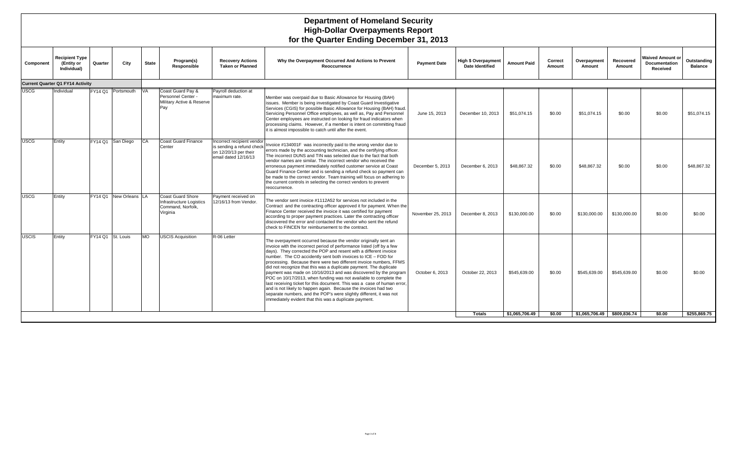#### **Department of Homeland Security High-Dollar Overpayments Report for the Quarter Ending December 31, 2013**

| Component    | <b>Recipient Type</b><br>(Entity or<br>Individual) | Quarter           | City           | <b>State</b> | Program(s)<br>Responsible                                                             | <b>Recovery Actions</b><br><b>Taken or Planned</b>                                                       | Why the Overpayment Occurred And Actions to Prevent<br>Reoccurrence                                                                                                                                                                                                                                                                                                                                                                                                                                                                                                                                                                                                                                                                                                                                                                                | <b>Payment Date</b> | <b>High \$ Overpayment</b><br><b>Date Identified</b> | <b>Amount Paid</b> | Correct<br>Amount | Overpayment<br>Amount | Recovered<br>Amount         | <b>Waived Amount or</b><br>Documentation<br>Received | Outstanding<br><b>Balance</b> |
|--------------|----------------------------------------------------|-------------------|----------------|--------------|---------------------------------------------------------------------------------------|----------------------------------------------------------------------------------------------------------|----------------------------------------------------------------------------------------------------------------------------------------------------------------------------------------------------------------------------------------------------------------------------------------------------------------------------------------------------------------------------------------------------------------------------------------------------------------------------------------------------------------------------------------------------------------------------------------------------------------------------------------------------------------------------------------------------------------------------------------------------------------------------------------------------------------------------------------------------|---------------------|------------------------------------------------------|--------------------|-------------------|-----------------------|-----------------------------|------------------------------------------------------|-------------------------------|
|              | Current Quarter Q1 FY14 Activity                   |                   |                |              |                                                                                       |                                                                                                          |                                                                                                                                                                                                                                                                                                                                                                                                                                                                                                                                                                                                                                                                                                                                                                                                                                                    |                     |                                                      |                    |                   |                       |                             |                                                      |                               |
| <b>JSCG</b>  | Individual                                         | FY14 Q1           | Portsmouth     | <b>VA</b>    | Coast Guard Pay &<br>Personnel Center -<br>Military Active & Reserve<br>Pav           | Payroll deduction at<br>maximum rate.                                                                    | Member was overpaid due to Basic Allowance for Housing (BAH)<br>issues. Member is being investigated by Coast Guard Investigative<br>Services (CGIS) for possible Basic Allowance for Housing (BAH) fraud.<br>Servicing Personnel Office employees, as well as, Pay and Personnel<br>Center employees are instructed on looking for fraud indicators when<br>processing claims. However, if a member is intent on committing fraud<br>it is almost impossible to catch until after the event.                                                                                                                                                                                                                                                                                                                                                      | June 15, 2013       | December 10, 2013                                    | \$51,074.15        | \$0.00            | \$51,074.15           | \$0.00                      | \$0.00                                               | \$51.074.15                   |
| <b>JSCG</b>  | Entity                                             | FY14 Q1           | San Diego      | CA           | <b>Coast Guard Finance</b><br>Center                                                  | Incorrect recipient vendor<br>is sending a refund check<br>on 12/20/13 per their<br>email dated 12/16/13 | Invoice #134001F was incorrectly paid to the wrong vendor due to<br>errors made by the accounting technician, and the certifying officer.<br>The incorrect DUNS and TIN was selected due to the fact that both<br>vendor names are similar. The incorrect vendor who received the<br>erroneous payment immediately notified customer service at Coast<br>Guard Finance Center and is sending a refund check so payment can<br>be made to the correct vendor. Team training will focus on adhering to<br>the current controls in selecting the correct vendors to prevent<br>reoccurrence.                                                                                                                                                                                                                                                          | December 5, 2013    | December 6, 2013                                     | \$48,867.32        | \$0.00            | \$48,867,32           | \$0.00                      | \$0.00                                               | \$48,867.32                   |
| USCG         | Entity                                             | FY14 O1           | New Orleans LA |              | <b>Coast Guard Shore</b><br>Infrastructure Logistics<br>Command, Norfolk.<br>Virginia | Payment received on<br>12/16/13 from Vendor.                                                             | The vendor sent invoice #1112A52 for services not included in the<br>Contract and the contracting officer approved it for payment. When the<br>Finance Center received the invoice it was certified for payment<br>according to proper payment practices. Later the contracting officer<br>discovered the error and contacted the vendor who sent the refund<br>check to FINCEN for reimbursement to the contract.                                                                                                                                                                                                                                                                                                                                                                                                                                 | November 25, 2013   | December 8, 2013                                     | \$130,000,00       | \$0.00            | \$130,000.00          | \$130,000.00                | \$0.00                                               | \$0.00                        |
| <b>USCIS</b> | Entity                                             | FY14 Q1 St. Louis |                | <b>MO</b>    | <b>USCIS Acquisition</b>                                                              | R-06 Letter                                                                                              | The overpayment occurred because the vendor originally sent an<br>invoice with the incorrect period of performance listed (off by a few<br>days). They corrected the POP and resent with a different invoice<br>number. The CO accidently sent both invoices to ICE - FOD for<br>processing. Because there were two different invoice numbers, FFMS<br>did not recognize that this was a duplicate payment. The duplicate<br>payment was made on 10/16/2013 and was discovered by the program<br>POC on 10/17/2013, when funding was not available to complete the<br>last receiving ticket for this document. This was a case of human error,<br>and is not likely to happen again. Because the invoices had two<br>separate numbers, and the POP's were slightly different, it was not<br>immediately evident that this was a duplicate payment. | October 6, 2013     | October 22, 2013                                     | \$545,639.00       | \$0.00            | \$545,639.00          | \$545,639.00                | \$0.00                                               | \$0.00                        |
|              |                                                    |                   |                |              |                                                                                       |                                                                                                          |                                                                                                                                                                                                                                                                                                                                                                                                                                                                                                                                                                                                                                                                                                                                                                                                                                                    |                     | <b>Totals</b>                                        | \$1.065.706.49     | \$0.00            |                       | \$1.065.706.49 \$809.836.74 | \$0.00                                               | \$255.869.75                  |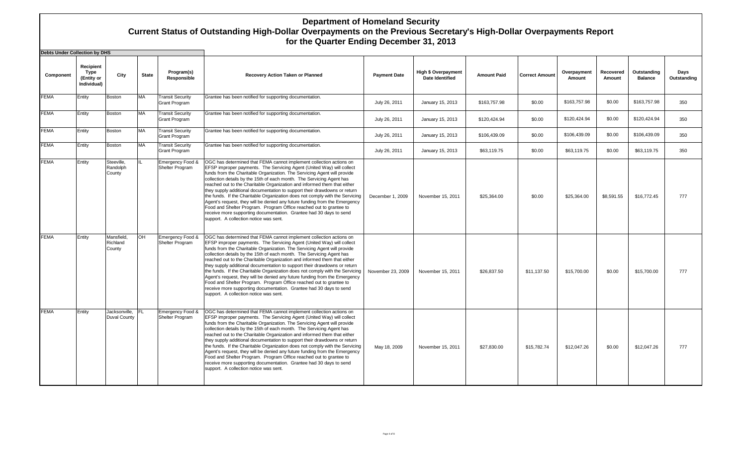## **Department of Homeland Security Current Status of Outstanding High-Dollar Overpayments on the Previous Secretary's High-Dollar Overpayments Report for the Quarter Ending December 31, 2013**

| Debts Under Collection by DHS |                                                |                                      |              |                                                 |                                                                                                                                                                                                                                                                                                                                                                                                                                                                                                                                                                                                                                                                                                                                                                                                                |                     |                                               |                    |                       |                       |                     |                               |                     |
|-------------------------------|------------------------------------------------|--------------------------------------|--------------|-------------------------------------------------|----------------------------------------------------------------------------------------------------------------------------------------------------------------------------------------------------------------------------------------------------------------------------------------------------------------------------------------------------------------------------------------------------------------------------------------------------------------------------------------------------------------------------------------------------------------------------------------------------------------------------------------------------------------------------------------------------------------------------------------------------------------------------------------------------------------|---------------------|-----------------------------------------------|--------------------|-----------------------|-----------------------|---------------------|-------------------------------|---------------------|
| Component                     | Recipient<br>Type<br>(Entity or<br>Individual) | City                                 | <b>State</b> | Program(s)<br>Responsible                       | Recovery Action Taken or Planned                                                                                                                                                                                                                                                                                                                                                                                                                                                                                                                                                                                                                                                                                                                                                                               | <b>Payment Date</b> | <b>High \$ Overpayment</b><br>Date Identified | <b>Amount Paid</b> | <b>Correct Amount</b> | Overpayment<br>Amount | Recovered<br>Amount | Outstanding<br><b>Balance</b> | Days<br>Outstanding |
| <b>FEMA</b>                   | Entity                                         | Boston                               | <b>MA</b>    | <b>Transit Security</b><br><b>Grant Program</b> | Grantee has been notified for supporting documentation.                                                                                                                                                                                                                                                                                                                                                                                                                                                                                                                                                                                                                                                                                                                                                        | July 26, 2011       | January 15, 2013                              | \$163,757.98       | \$0.00                | \$163,757.98          | \$0.00              | \$163,757.98                  | 350                 |
| <b>FEMA</b>                   | Entity                                         | Boston                               | <b>MA</b>    | <b>Transit Security</b><br><b>Grant Program</b> | Grantee has been notified for supporting documentation.                                                                                                                                                                                                                                                                                                                                                                                                                                                                                                                                                                                                                                                                                                                                                        | July 26, 2011       | January 15, 2013                              | \$120,424.94       | \$0.00                | \$120,424.94          | \$0.00              | \$120,424.94                  | 350                 |
| <b>FEMA</b>                   | Entity                                         | Boston                               | <b>MA</b>    | <b>Transit Security</b><br><b>Grant Program</b> | Grantee has been notified for supporting documentation.                                                                                                                                                                                                                                                                                                                                                                                                                                                                                                                                                                                                                                                                                                                                                        | July 26, 2011       | January 15, 2013                              | \$106,439.09       | \$0.00                | \$106,439.09          | \$0.00              | \$106,439.09                  | 350                 |
| <b>FEMA</b>                   | Entity                                         | Boston                               | <b>MA</b>    | <b>Transit Security</b><br><b>Grant Program</b> | Grantee has been notified for supporting documentation.                                                                                                                                                                                                                                                                                                                                                                                                                                                                                                                                                                                                                                                                                                                                                        | July 26, 2011       | January 15, 2013                              | \$63,119.75        | \$0.00                | \$63,119.75           | \$0.00              | \$63,119.75                   | 350                 |
| <b>FEMA</b>                   | Entity                                         | Steeville,<br>Randolph<br>County     |              | Emergency Food &<br>Shelter Program             | OGC has determined that FEMA cannot implement collection actions on<br>EFSP improper payments. The Servicing Agent (United Way) will collect<br>funds from the Charitable Organization. The Servicing Agent will provide<br>collection details by the 15th of each month. The Servicing Agent has<br>reached out to the Charitable Organization and informed them that either<br>they supply additional documentation to support their drawdowns or return<br>the funds. If the Charitable Organization does not comply with the Servicing<br>Agent's request, they will be denied any future funding from the Emergency<br>Food and Shelter Program. Program Office reached out to grantee to<br>receive more supporting documentation. Grantee had 30 days to send<br>support. A collection notice was sent. | December 1, 2009    | November 15, 2011                             | \$25,364.00        | \$0.00                | \$25,364.00           | \$8,591.55          | \$16,772.45                   | 777                 |
| <b>FEMA</b>                   | Entity                                         | Mansfield,<br>Richland<br>County     | OH           | Emergency Food &<br>Shelter Program             | OGC has determined that FEMA cannot implement collection actions on<br>EFSP improper payments. The Servicing Agent (United Way) will collect<br>funds from the Charitable Organization. The Servicing Agent will provide<br>collection details by the 15th of each month. The Servicing Agent has<br>reached out to the Charitable Organization and informed them that either<br>they supply additional documentation to support their drawdowns or return<br>the funds. If the Charitable Organization does not comply with the Servicing<br>Agent's request, they will be denied any future funding from the Emergency<br>Food and Shelter Program. Program Office reached out to grantee to<br>receive more supporting documentation. Grantee had 30 days to send<br>support. A collection notice was sent. | November 23, 2009   | November 15, 2011                             | \$26,837.50        | \$11,137.50           | \$15,700.00           | \$0.00              | \$15,700.00                   | 777                 |
| <b>FEMA</b>                   | Entity                                         | Jacksonville.<br><b>Duval County</b> | IFL          | Emergency Food &<br>Shelter Program             | OGC has determined that FEMA cannot implement collection actions on<br>EFSP improper payments. The Servicing Agent (United Way) will collect<br>funds from the Charitable Organization. The Servicing Agent will provide<br>collection details by the 15th of each month. The Servicing Agent has<br>reached out to the Charitable Organization and informed them that either<br>they supply additional documentation to support their drawdowns or return<br>the funds. If the Charitable Organization does not comply with the Servicing<br>Agent's request, they will be denied any future funding from the Emergency<br>Food and Shelter Program. Program Office reached out to grantee to<br>receive more supporting documentation. Grantee had 30 days to send<br>support. A collection notice was sent. | May 18, 2009        | November 15, 2011                             | \$27,830.00        | \$15,782.74           | \$12,047.26           | \$0.00              | \$12,047.26                   | 777                 |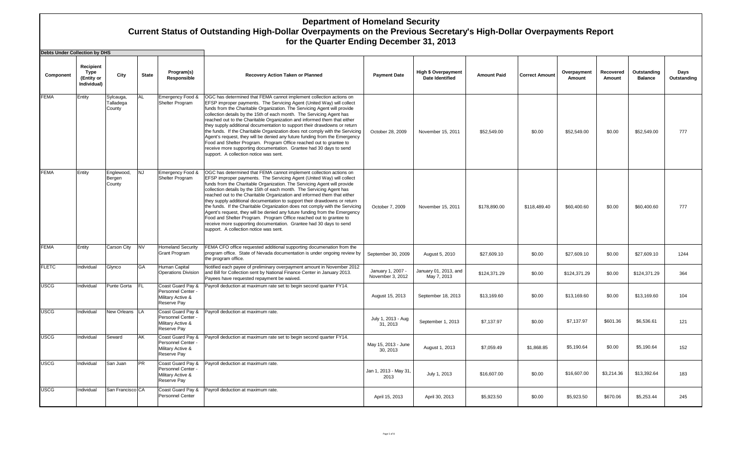## **Department of Homeland Security Current Status of Outstanding High-Dollar Overpayments on the Previous Secretary's High-Dollar Overpayments Report for the Quarter Ending December 31, 2013**

| <b>Debts Under Collection by DHS</b> |                                                |                                  |              |                                                                             |                                                                                                                                                                                                                                                                                                                                                                                                                                                                                                                                                                                                                                                                                                                                                                                                                |                                       |                                                      |                    |                       |                       |                     |                               |                     |
|--------------------------------------|------------------------------------------------|----------------------------------|--------------|-----------------------------------------------------------------------------|----------------------------------------------------------------------------------------------------------------------------------------------------------------------------------------------------------------------------------------------------------------------------------------------------------------------------------------------------------------------------------------------------------------------------------------------------------------------------------------------------------------------------------------------------------------------------------------------------------------------------------------------------------------------------------------------------------------------------------------------------------------------------------------------------------------|---------------------------------------|------------------------------------------------------|--------------------|-----------------------|-----------------------|---------------------|-------------------------------|---------------------|
| Component                            | Recipient<br>Type<br>(Entity or<br>Individual) | City                             | <b>State</b> | Program(s)<br>Responsible                                                   | Recovery Action Taken or Planned                                                                                                                                                                                                                                                                                                                                                                                                                                                                                                                                                                                                                                                                                                                                                                               | <b>Payment Date</b>                   | <b>High \$ Overpayment</b><br><b>Date Identified</b> | <b>Amount Paid</b> | <b>Correct Amount</b> | Overpayment<br>Amount | Recovered<br>Amount | Outstanding<br><b>Balance</b> | Days<br>Outstanding |
| <b>FEMA</b>                          | Entity                                         | Sylcauga,<br>Talladega<br>County | AL           | Emergency Food &<br>Shelter Program                                         | OGC has determined that FEMA cannot implement collection actions on<br>EFSP improper payments. The Servicing Agent (United Way) will collect<br>funds from the Charitable Organization. The Servicing Agent will provide<br>collection details by the 15th of each month. The Servicing Agent has<br>reached out to the Charitable Organization and informed them that either<br>they supply additional documentation to support their drawdowns or return<br>the funds. If the Charitable Organization does not comply with the Servicing<br>Agent's request, they will be denied any future funding from the Emergency<br>Food and Shelter Program. Program Office reached out to grantee to<br>receive more supporting documentation. Grantee had 30 days to send<br>support. A collection notice was sent. | October 28, 2009                      | November 15, 2011                                    | \$52,549.00        | \$0.00                | \$52,549.00           | \$0.00              | \$52,549.00                   | 777                 |
| <b>FEMA</b>                          | Entity                                         | Englewood,<br>Bergen<br>County   | INJ          | Emergency Food &<br>Shelter Program                                         | OGC has determined that FEMA cannot implement collection actions on<br>EFSP improper payments. The Servicing Agent (United Way) will collect<br>funds from the Charitable Organization. The Servicing Agent will provide<br>collection details by the 15th of each month. The Servicing Agent has<br>reached out to the Charitable Organization and informed them that either<br>they supply additional documentation to support their drawdowns or return<br>the funds. If the Charitable Organization does not comply with the Servicing<br>Agent's request, they will be denied any future funding from the Emergency<br>Food and Shelter Program. Program Office reached out to grantee to<br>receive more supporting documentation. Grantee had 30 days to send<br>support. A collection notice was sent. | October 7, 2009                       | November 15, 2011                                    | \$178,890.00       | \$118,489.40          | \$60,400.60           | \$0.00              | \$60,400.60                   | 777                 |
| <b>FEMA</b>                          | Entity                                         | Carson City                      | <b>NV</b>    | <b>Homeland Security</b><br>Grant Program                                   | FEMA CFO office requested additional supporting documenation from the<br>program office. State of Nevada documentation is under ongoing review by<br>the program office.                                                                                                                                                                                                                                                                                                                                                                                                                                                                                                                                                                                                                                       | September 30, 2009                    | August 5, 2010                                       | \$27,609.10        | \$0.00                | \$27,609.10           | \$0.00              | \$27,609.10                   | 1244                |
| <b>FLETC</b>                         | Individual                                     | Glynco                           | GA           | Human Capital<br><b>Operations Division</b>                                 | Notified each payee of preliminary overpayment amount in November 2012<br>and Bill for Collection sent by National Finance Center in January 2013.<br>Payees have requested repayment be waived.                                                                                                                                                                                                                                                                                                                                                                                                                                                                                                                                                                                                               | January 1, 2007 -<br>November 3, 2012 | January 01, 2013, and<br>May 7, 2013                 | \$124,371.29       | \$0.00                | \$124,371.29          | \$0.00              | \$124,371.29                  | 364                 |
| <b>JSCG</b>                          | Individual                                     | Punte Gorta                      | IFL.         | Coast Guard Pay &<br>Personnel Center -<br>Military Active &<br>Reserve Pay | Payroll deduction at maximum rate set to begin second quarter FY14.                                                                                                                                                                                                                                                                                                                                                                                                                                                                                                                                                                                                                                                                                                                                            | August 15, 2013                       | September 18, 2013                                   | \$13,169.60        | \$0.00                | \$13,169.60           | \$0.00              | \$13,169.60                   | 104                 |
| <b>USCG</b>                          | Individual                                     | New Orleans LA                   |              | Coast Guard Pay &<br>Personnel Center -<br>Military Active &<br>Reserve Pay | Payroll deduction at maximum rate.                                                                                                                                                                                                                                                                                                                                                                                                                                                                                                                                                                                                                                                                                                                                                                             | July 1, 2013 - Aug<br>31, 2013        | September 1, 2013                                    | \$7,137.97         | \$0.00                | \$7,137.97            | \$601.36            | \$6,536.61                    | 121                 |
| <b>USCG</b>                          | Individual                                     | Seward                           | AK           | Coast Guard Pay &<br>Personnel Center -<br>Military Active &<br>Reserve Pay | Payroll deduction at maximum rate set to begin second quarter FY14.                                                                                                                                                                                                                                                                                                                                                                                                                                                                                                                                                                                                                                                                                                                                            | May 15, 2013 - June<br>30, 2013       | August 1, 2013                                       | \$7,059.49         | \$1,868.85            | \$5,190.64            | \$0.00              | \$5,190.64                    | 152                 |
| USCG                                 | Individual                                     | San Juan                         | <b>PR</b>    | Coast Guard Pay &<br>Personnel Center -<br>Military Active &<br>Reserve Pay | Payroll deduction at maximum rate.                                                                                                                                                                                                                                                                                                                                                                                                                                                                                                                                                                                                                                                                                                                                                                             | Jan 1, 2013 - May 31,<br>2013         | July 1, 2013                                         | \$16,607.00        | \$0.00                | \$16,607.00           | \$3,214.36          | \$13,392.64                   | 183                 |
| <b>USCG</b>                          | Individual                                     | San Francisco CA                 |              | Coast Guard Pay &<br>Personnel Center                                       | Payroll deduction at maximum rate.                                                                                                                                                                                                                                                                                                                                                                                                                                                                                                                                                                                                                                                                                                                                                                             | April 15, 2013                        | April 30, 2013                                       | \$5,923.50         | \$0.00                | \$5,923.50            | \$670.06            | \$5,253.44                    | 245                 |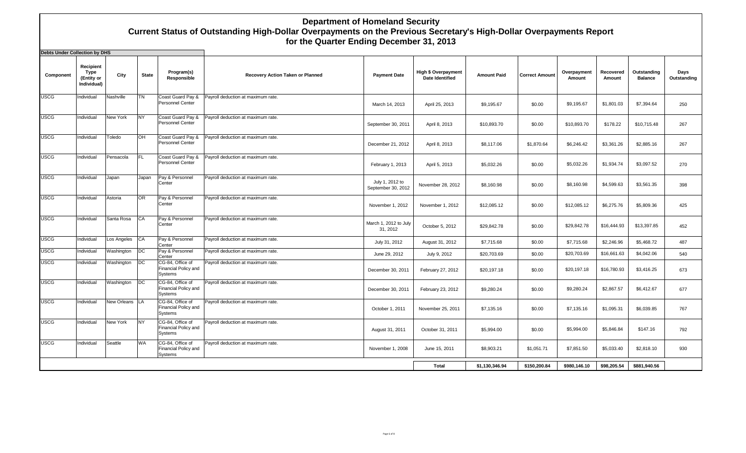## **Department of Homeland Security Current Status of Outstanding High-Dollar Overpayments on the Previous Secretary's High-Dollar Overpayments Report for the Quarter Ending December 31, 2013**

| <b>Debts Under Collection by DHS</b> |                                                |                 |              |                                                            |                                    |                                       |                                                      |                    |                       |                       |                     |                               |                     |
|--------------------------------------|------------------------------------------------|-----------------|--------------|------------------------------------------------------------|------------------------------------|---------------------------------------|------------------------------------------------------|--------------------|-----------------------|-----------------------|---------------------|-------------------------------|---------------------|
| Component                            | Recipient<br>Type<br>(Entity or<br>Individual) | City            | <b>State</b> | Program(s)<br>Responsible                                  | Recovery Action Taken or Planned   | <b>Payment Date</b>                   | <b>High \$ Overpayment</b><br><b>Date Identified</b> | <b>Amount Paid</b> | <b>Correct Amount</b> | Overpayment<br>Amount | Recovered<br>Amount | Outstanding<br><b>Balance</b> | Days<br>Outstanding |
| <b>USCG</b>                          | Individual                                     | Nashville       | <b>TN</b>    | Coast Guard Pay &<br>Personnel Center                      | Payroll deduction at maximum rate. | March 14, 2013                        | April 25, 2013                                       | \$9,195.67         | \$0.00                | \$9,195.67            | \$1,801.03          | \$7,394.64                    | 250                 |
| <b>USCG</b>                          | Individual                                     | <b>New York</b> | <b>NY</b>    | Coast Guard Pay &<br>Personnel Center                      | Payroll deduction at maximum rate. | September 30, 2011                    | April 8, 2013                                        | \$10,893.70        | \$0.00                | \$10,893.70           | \$178.22            | \$10,715.48                   | 267                 |
| <b>USCG</b>                          | Individual                                     | Toledo          | <b>OH</b>    | Coast Guard Pay &<br>Personnel Center                      | Payroll deduction at maximum rate. | December 21, 2012                     | April 8, 2013                                        | \$8,117.06         | \$1,870.64            | \$6,246.42            | \$3,361.26          | \$2,885.16                    | 267                 |
| <b>USCG</b>                          | Individual                                     | Pensacola       | <b>FL</b>    | Coast Guard Pay &<br>Personnel Center                      | Payroll deduction at maximum rate. | February 1, 2013                      | April 5, 2013                                        | \$5,032.26         | \$0.00                | \$5,032.26            | \$1,934.74          | \$3,097.52                    | 270                 |
| <b>USCG</b>                          | Individual                                     | Japan           | Japan        | Pay & Personnel<br>Center                                  | Payroll deduction at maximum rate. | July 1, 2012 to<br>September 30, 2012 | November 28, 2012                                    | \$8.160.98         | \$0.00                | \$8,160.98            | \$4,599.63          | \$3,561.35                    | 398                 |
| <b>USCG</b>                          | Individual                                     | Astoria         | OR           | Pay & Personnel<br>Center                                  | Payroll deduction at maximum rate. | November 1, 2012                      | November 1, 2012                                     | \$12,085.12        | \$0.00                | \$12,085.12           | \$6,275.76          | \$5,809.36                    | 425                 |
| <b>USCG</b>                          | Individual                                     | Santa Rosa      | CA           | Pay & Personnel<br>Center                                  | Payroll deduction at maximum rate. | March 1, 2012 to July<br>31, 2012     | October 5, 2012                                      | \$29,842.78        | \$0.00                | \$29,842.78           | \$16,444.93         | \$13,397.85                   | 452                 |
| <b>USCG</b>                          | Individual                                     | Los Angeles     | CA           | Pay & Personnel<br>Center                                  | Payroll deduction at maximum rate. | July 31, 2012                         | August 31, 2012                                      | \$7,715.68         | \$0.00                | \$7,715.68            | \$2,246.96          | \$5,468.72                    | 487                 |
| <b>USCG</b>                          | Individual                                     | Washington      | DC           | Pay & Personnel<br>Center                                  | Payroll deduction at maximum rate. | June 29, 2012                         | July 9, 2012                                         | \$20,703.69        | \$0.00                | \$20,703.69           | \$16,661.63         | \$4,042.06                    | 540                 |
| <b>USCG</b>                          | Individual                                     | Washington      | DC           | CG-84. Office of<br>Financial Policy and<br>Systems        | Payroll deduction at maximum rate. | December 30, 2011                     | February 27, 2012                                    | \$20,197.18        | \$0.00                | \$20,197.18           | \$16,780.93         | \$3,416.25                    | 673                 |
| <b>USCG</b>                          | Individual                                     | Washington      | DC           | CG-84, Office of<br>Financial Policy and<br><b>Systems</b> | Payroll deduction at maximum rate. | December 30, 2011                     | February 23, 2012                                    | \$9,280.24         | \$0.00                | \$9,280.24            | \$2,867.57          | \$6,412.67                    | 677                 |
| <b>USCG</b>                          | Individual                                     | New Orleans LA  |              | CG-84, Office of<br>Financial Policy and<br>Systems        | Payroll deduction at maximum rate. | October 1, 2011                       | November 25, 2011                                    | \$7,135.16         | \$0.00                | \$7,135.16            | \$1,095.31          | \$6,039.85                    | 767                 |
| <b>USCG</b>                          | Individual                                     | <b>New York</b> | <b>NY</b>    | CG-84. Office of<br>Financial Policy and<br>Systems        | Payroll deduction at maximum rate. | August 31, 2011                       | October 31, 2011                                     | \$5.994.00         | \$0.00                | \$5,994.00            | \$5,846.84          | \$147.16                      | 792                 |
| <b>USCG</b>                          | Individual                                     | Seattle         | <b>WA</b>    | CG-84, Office of<br>Financial Policy and<br><b>Systems</b> | Payroll deduction at maximum rate. | November 1, 2008                      | June 15, 2011                                        | \$8,903.21         | \$1,051.71            | \$7,851.50            | \$5,033.40          | \$2,818.10                    | 930                 |
|                                      |                                                |                 |              |                                                            |                                    |                                       | <b>Total</b>                                         | \$1,130,346.94     | \$150,200.84          | \$980,146.10          | \$98,205.54         | \$881,940.56                  |                     |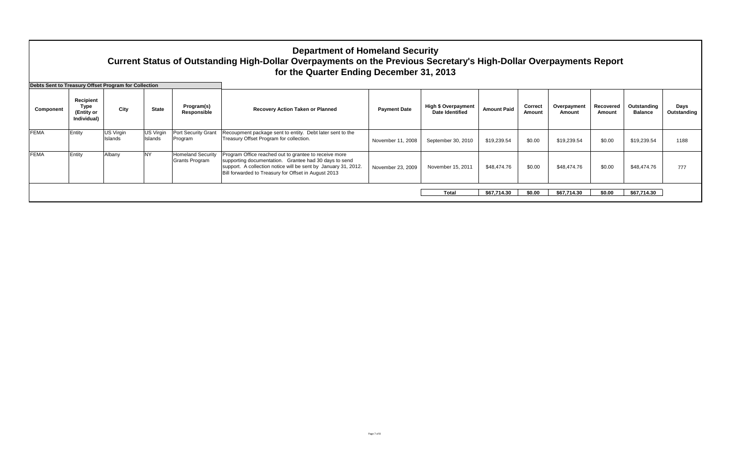|                                                                   |                                                       |                      |                      |                                            | <b>Department of Homeland Security</b><br>Current Status of Outstanding High-Dollar Overpayments on the Previous Secretary's High-Dollar Overpayments Report<br>for the Quarter Ending December 31, 2013                                 |                     |                                                      |                    |                   |                       |                     |                               |                     |
|-------------------------------------------------------------------|-------------------------------------------------------|----------------------|----------------------|--------------------------------------------|------------------------------------------------------------------------------------------------------------------------------------------------------------------------------------------------------------------------------------------|---------------------|------------------------------------------------------|--------------------|-------------------|-----------------------|---------------------|-------------------------------|---------------------|
| Debts Sent to Treasury Offset Program for Collection<br>Component | Recipient<br><b>Type</b><br>(Entity or<br>Individual) | City                 | <b>State</b>         | Program(s)<br>Responsible                  | <b>Recovery Action Taken or Planned</b>                                                                                                                                                                                                  | <b>Payment Date</b> | <b>High \$ Overpayment</b><br><b>Date Identified</b> | <b>Amount Paid</b> | Correct<br>Amount | Overpayment<br>Amount | Recovered<br>Amount | Outstanding<br><b>Balance</b> | Days<br>Outstanding |
| <b>FEMA</b>                                                       | Entity                                                | US Virgin<br>Islands | US Virgin<br>Islands | Port Security Grant<br>Program             | Recoupment package sent to entity. Debt later sent to the<br>Treasury Offset Program for collection.                                                                                                                                     | November 11, 2008   | September 30, 2010                                   | \$19,239.54        | \$0.00            | \$19,239.54           | \$0.00              | \$19,239.54                   | 1188                |
| <b>FEMA</b>                                                       | Entity                                                | Albany               | <b>NY</b>            | <b>Homeland Security</b><br>Grants Program | Program Office reached out to grantee to receive more<br>supporting documentation. Grantee had 30 days to send<br>support. A collection notice will be sent by January 31, 2012.<br>Bill forwarded to Treasury for Offset in August 2013 | November 23, 2009   | November 15, 2011                                    | \$48,474.76        | \$0.00            | \$48,474.76           | \$0.00              | \$48,474.76                   | 777                 |
|                                                                   |                                                       |                      |                      |                                            |                                                                                                                                                                                                                                          |                     | Total                                                | \$67.714.30        | \$0.00            | \$67,714.30           | \$0.00              | \$67,714.30                   |                     |